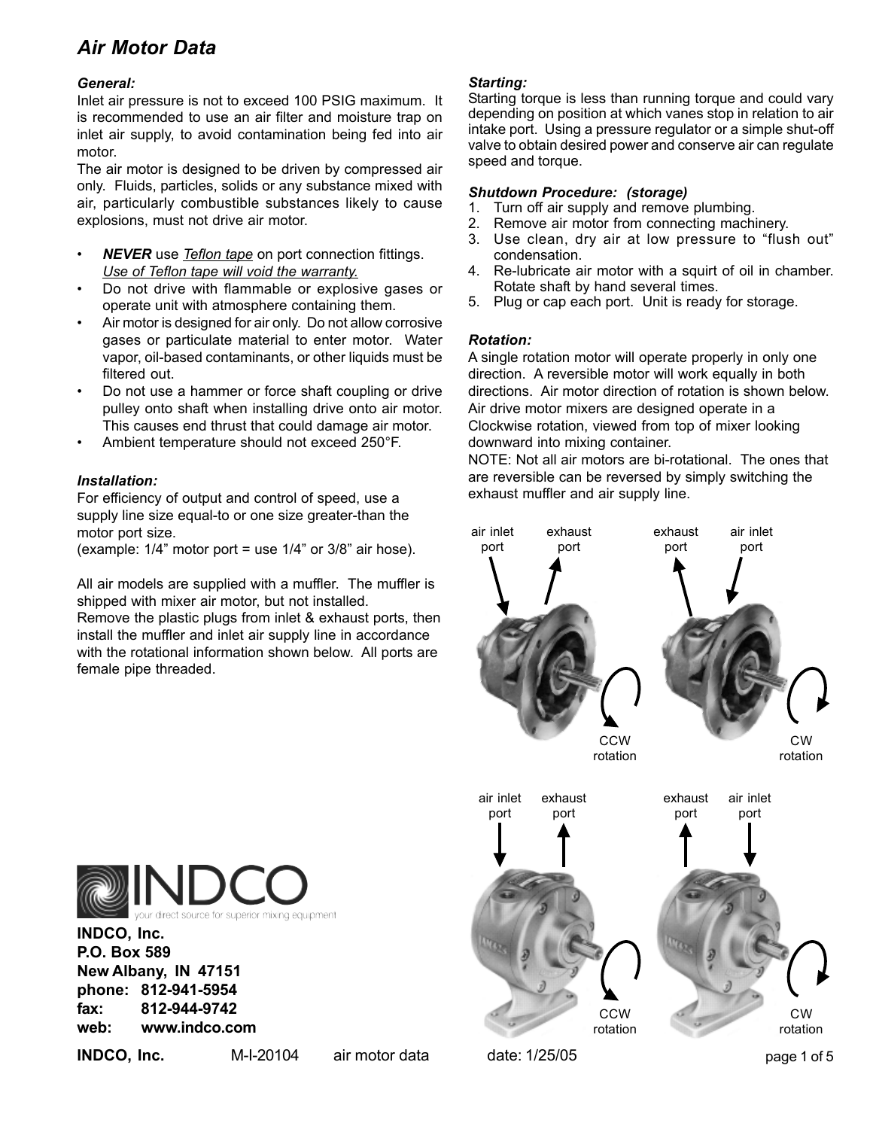## *Air Motor Data*

## *General:*

Inlet air pressure is not to exceed 100 PSIG maximum. It is recommended to use an air filter and moisture trap on inlet air supply, to avoid contamination being fed into air motor.

The air motor is designed to be driven by compressed air only. Fluids, particles, solids or any substance mixed with air, particularly combustible substances likely to cause explosions, must not drive air motor.

- *NEVER* use *Teflon tape* on port connection fittings. *Use of Teflon tape will void the warranty.*
- Do not drive with flammable or explosive gases or operate unit with atmosphere containing them.
- Air motor is designed for air only. Do not allow corrosive gases or particulate material to enter motor. Water vapor, oil-based contaminants, or other liquids must be filtered out.
- Do not use a hammer or force shaft coupling or drive pulley onto shaft when installing drive onto air motor. This causes end thrust that could damage air motor.
- Ambient temperature should not exceed 250°F.

## *Installation:*

For efficiency of output and control of speed, use a supply line size equal-to or one size greater-than the motor port size.

(example: 1/4" motor port = use 1/4" or 3/8" air hose).

All air models are supplied with a muffler. The muffler is shipped with mixer air motor, but not installed.

Remove the plastic plugs from inlet & exhaust ports, then install the muffler and inlet air supply line in accordance with the rotational information shown below. All ports are female pipe threaded.

## *Starting:*

Starting torque is less than running torque and could vary depending on position at which vanes stop in relation to air intake port. Using a pressure regulator or a simple shut-off valve to obtain desired power and conserve air can regulate speed and torque.

### *Shutdown Procedure: (storage)*

- 1. Turn off air supply and remove plumbing.
- 2. Remove air motor from connecting machinery.
- 3. Use clean, dry air at low pressure to "flush out" condensation.
- 4. Re-lubricate air motor with a squirt of oil in chamber. Rotate shaft by hand several times.
- 5. Plug or cap each port. Unit is ready for storage.

## *Rotation:*

A single rotation motor will operate properly in only one direction. A reversible motor will work equally in both directions. Air motor direction of rotation is shown below. Air drive motor mixers are designed operate in a Clockwise rotation, viewed from top of mixer looking downward into mixing container.

NOTE: Not all air motors are bi-rotational. The ones that are reversible can be reversed by simply switching the exhaust muffler and air supply line.





**INDCO, Inc. P.O. Box 589 New Albany, IN 47151 phone: 812-941-5954 fax: 812-944-9742 web: www.indco.com**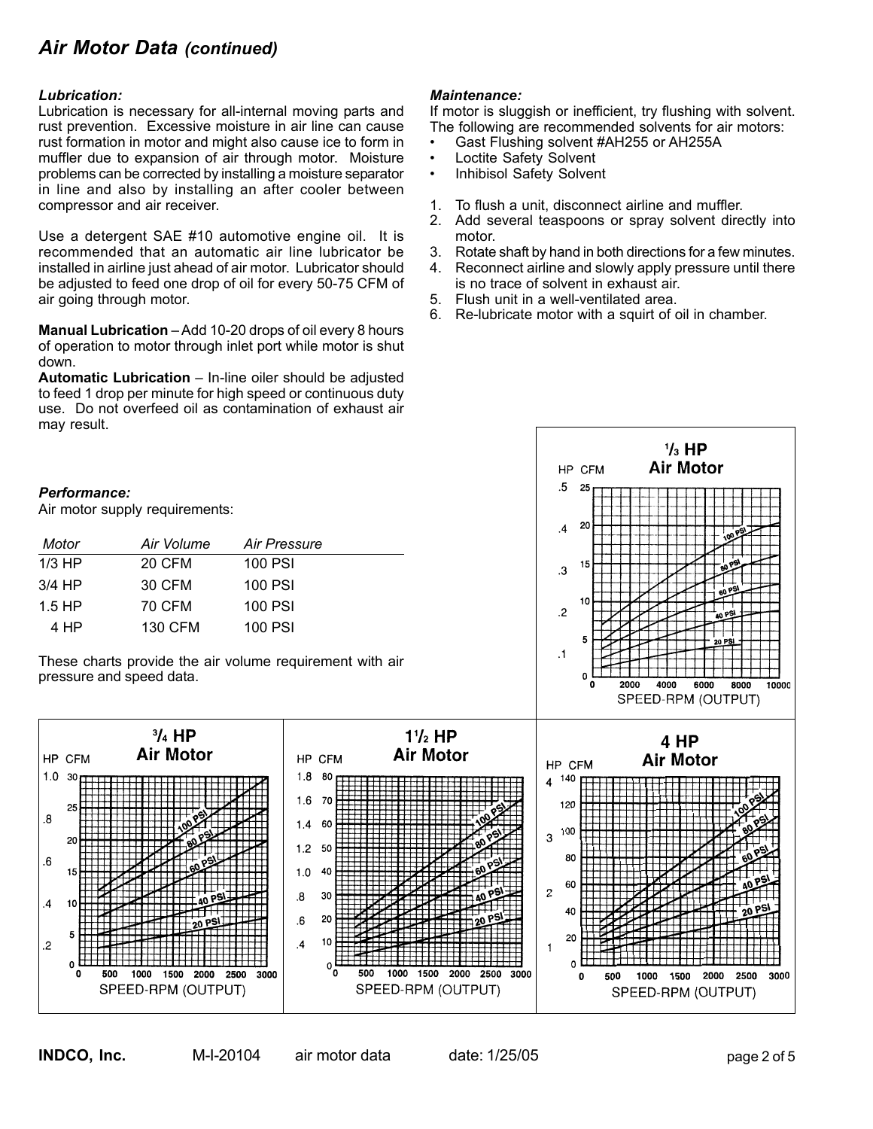## *Air Motor Data (continued)*

#### *Lubrication:*

Lubrication is necessary for all-internal moving parts and rust prevention. Excessive moisture in air line can cause rust formation in motor and might also cause ice to form in muffler due to expansion of air through motor. Moisture problems can be corrected by installing a moisture separator in line and also by installing an after cooler between compressor and air receiver.

Use a detergent SAE #10 automotive engine oil. It is recommended that an automatic air line lubricator be installed in airline just ahead of air motor. Lubricator should be adjusted to feed one drop of oil for every 50-75 CFM of air going through motor.

**Manual Lubrication** – Add 10-20 drops of oil every 8 hours of operation to motor through inlet port while motor is shut down.

**Automatic Lubrication** – In-line oiler should be adjusted to feed 1 drop per minute for high speed or continuous duty use. Do not overfeed oil as contamination of exhaust air may result.

### *Performance:*

Air motor supply requirements:

| Motor    | Air Volume    | Air Pressure |
|----------|---------------|--------------|
| $1/3$ HP | <b>20 CFM</b> | 100 PSI      |
| $3/4$ HP | 30 CFM        | 100 PSI      |
| $1.5$ HP | 70 CFM        | 100 PSI      |
| 4 HP     | 130 CFM       | 100 PSI      |

These charts provide the air volume requirement with air pressure and speed data.

### *Maintenance:*

If motor is sluggish or inefficient, try flushing with solvent. The following are recommended solvents for air motors:

- Gast Flushing solvent #AH255 or AH255A
- Loctite Safety Solvent<br>• Inhibisol Safety Solver
- Inhibisol Safety Solvent
- 1. To flush a unit, disconnect airline and muffler.
- 2. Add several teaspoons or spray solvent directly into motor.
- 3. Rotate shaft by hand in both directions for a few minutes.
- 4. Reconnect airline and slowly apply pressure until there is no trace of solvent in exhaust air.
- 5. Flush unit in a well-ventilated area.
- 6. Re-lubricate motor with a squirt of oil in chamber.

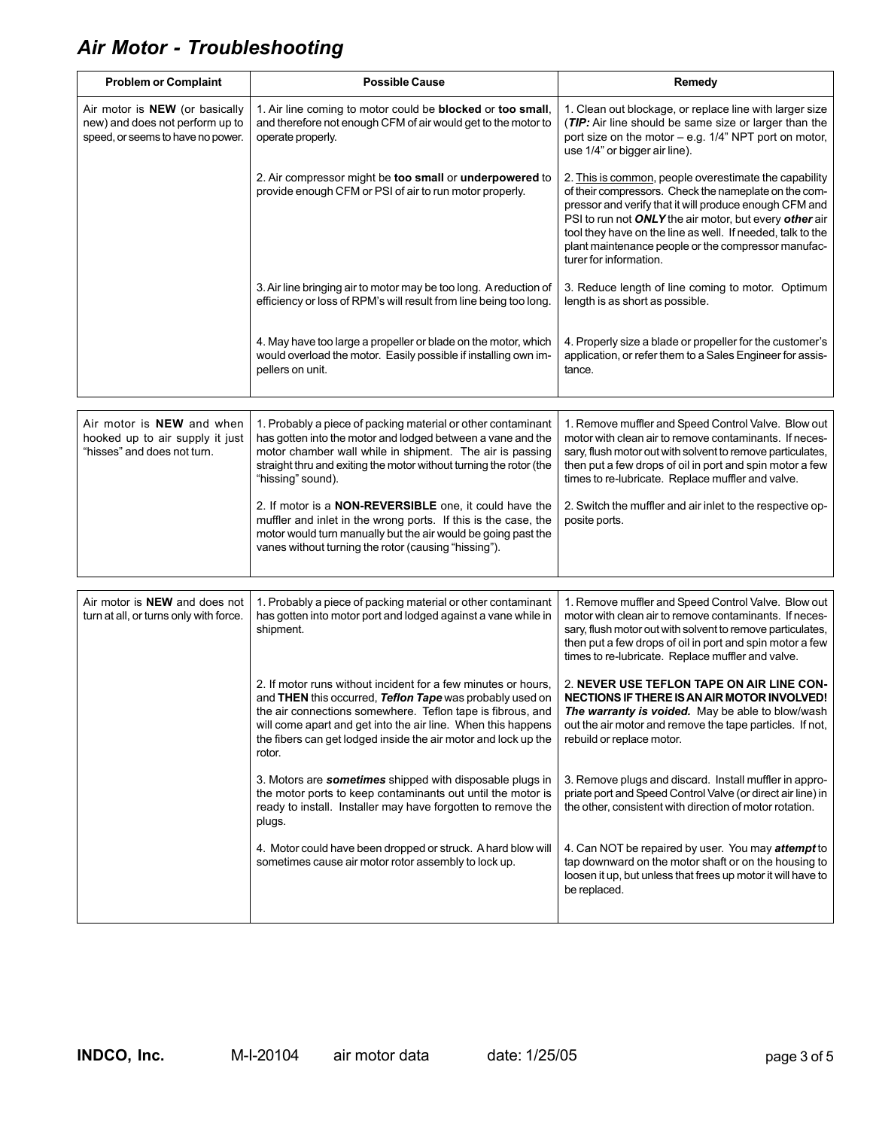## *Air Motor - Troubleshooting*

| <b>Problem or Complaint</b>                                                                                   | <b>Possible Cause</b>                                                                                                                                                                                                                                                                                                               | Remedy                                                                                                                                                                                                                                                                                                                                                                            |
|---------------------------------------------------------------------------------------------------------------|-------------------------------------------------------------------------------------------------------------------------------------------------------------------------------------------------------------------------------------------------------------------------------------------------------------------------------------|-----------------------------------------------------------------------------------------------------------------------------------------------------------------------------------------------------------------------------------------------------------------------------------------------------------------------------------------------------------------------------------|
| Air motor is <b>NEW</b> (or basically<br>new) and does not perform up to<br>speed, or seems to have no power. | 1. Air line coming to motor could be blocked or too small,<br>and therefore not enough CFM of air would get to the motor to<br>operate properly.                                                                                                                                                                                    | 1. Clean out blockage, or replace line with larger size<br>(TIP: Air line should be same size or larger than the<br>port size on the motor - e.g. 1/4" NPT port on motor,<br>use 1/4" or bigger air line).                                                                                                                                                                        |
|                                                                                                               | 2. Air compressor might be too small or underpowered to<br>provide enough CFM or PSI of air to run motor properly.                                                                                                                                                                                                                  | 2. This is common, people overestimate the capability<br>of their compressors. Check the nameplate on the com-<br>pressor and verify that it will produce enough CFM and<br>PSI to run not ONLY the air motor, but every other air<br>tool they have on the line as well. If needed, talk to the<br>plant maintenance people or the compressor manufac-<br>turer for information. |
|                                                                                                               | 3. Air line bringing air to motor may be too long. A reduction of<br>efficiency or loss of RPM's will result from line being too long.                                                                                                                                                                                              | 3. Reduce length of line coming to motor. Optimum<br>length is as short as possible.                                                                                                                                                                                                                                                                                              |
|                                                                                                               | 4. May have too large a propeller or blade on the motor, which<br>would overload the motor. Easily possible if installing own im-<br>pellers on unit.                                                                                                                                                                               | 4. Properly size a blade or propeller for the customer's<br>application, or refer them to a Sales Engineer for assis-<br>tance.                                                                                                                                                                                                                                                   |
|                                                                                                               |                                                                                                                                                                                                                                                                                                                                     |                                                                                                                                                                                                                                                                                                                                                                                   |
| Air motor is NEW and when<br>hooked up to air supply it just<br>"hisses" and does not turn.                   | 1. Probably a piece of packing material or other contaminant<br>has gotten into the motor and lodged between a vane and the<br>motor chamber wall while in shipment. The air is passing<br>straight thru and exiting the motor without turning the rotor (the<br>"hissing" sound).                                                  | 1. Remove muffler and Speed Control Valve. Blow out<br>motor with clean air to remove contaminants. If neces-<br>sary, flush motor out with solvent to remove particulates,<br>then put a few drops of oil in port and spin motor a few<br>times to re-lubricate. Replace muffler and valve.                                                                                      |
|                                                                                                               | 2. If motor is a <b>NON-REVERSIBLE</b> one, it could have the<br>muffler and inlet in the wrong ports. If this is the case, the<br>motor would turn manually but the air would be going past the<br>vanes without turning the rotor (causing "hissing").                                                                            | 2. Switch the muffler and air inlet to the respective op-<br>posite ports.                                                                                                                                                                                                                                                                                                        |
|                                                                                                               |                                                                                                                                                                                                                                                                                                                                     |                                                                                                                                                                                                                                                                                                                                                                                   |
| Air motor is <b>NEW</b> and does not<br>turn at all, or turns only with force.                                | 1. Probably a piece of packing material or other contaminant<br>has gotten into motor port and lodged against a vane while in<br>shipment.                                                                                                                                                                                          | 1. Remove muffler and Speed Control Valve. Blow out<br>motor with clean air to remove contaminants. If neces-<br>sary, flush motor out with solvent to remove particulates,<br>then put a few drops of oil in port and spin motor a few<br>times to re-lubricate. Replace muffler and valve.                                                                                      |
|                                                                                                               | 2. If motor runs without incident for a few minutes or hours,<br>and THEN this occurred, Teflon Tape was probably used on<br>the air connections somewhere. Teflon tape is fibrous, and<br>will come apart and get into the air line. When this happens<br>the fibers can get lodged inside the air motor and lock up the<br>rotor. | 2. NEVER USE TEFLON TAPE ON AIR LINE CON-<br>NECTIONS IF THERE IS AN AIR MOTOR INVOLVED!<br>The warranty is voided. May be able to blow/wash<br>out the air motor and remove the tape particles. If not,<br>rebuild or replace motor.                                                                                                                                             |
|                                                                                                               | 3. Motors are sometimes shipped with disposable plugs in<br>the motor ports to keep contaminants out until the motor is<br>ready to install. Installer may have forgotten to remove the<br>plugs.                                                                                                                                   | 3. Remove plugs and discard. Install muffler in appro-<br>priate port and Speed Control Valve (or direct air line) in<br>the other, consistent with direction of motor rotation.                                                                                                                                                                                                  |
|                                                                                                               | 4. Motor could have been dropped or struck. A hard blow will<br>sometimes cause air motor rotor assembly to lock up.                                                                                                                                                                                                                | 4. Can NOT be repaired by user. You may attempt to<br>tap downward on the motor shaft or on the housing to<br>loosen it up, but unless that frees up motor it will have to<br>be replaced.                                                                                                                                                                                        |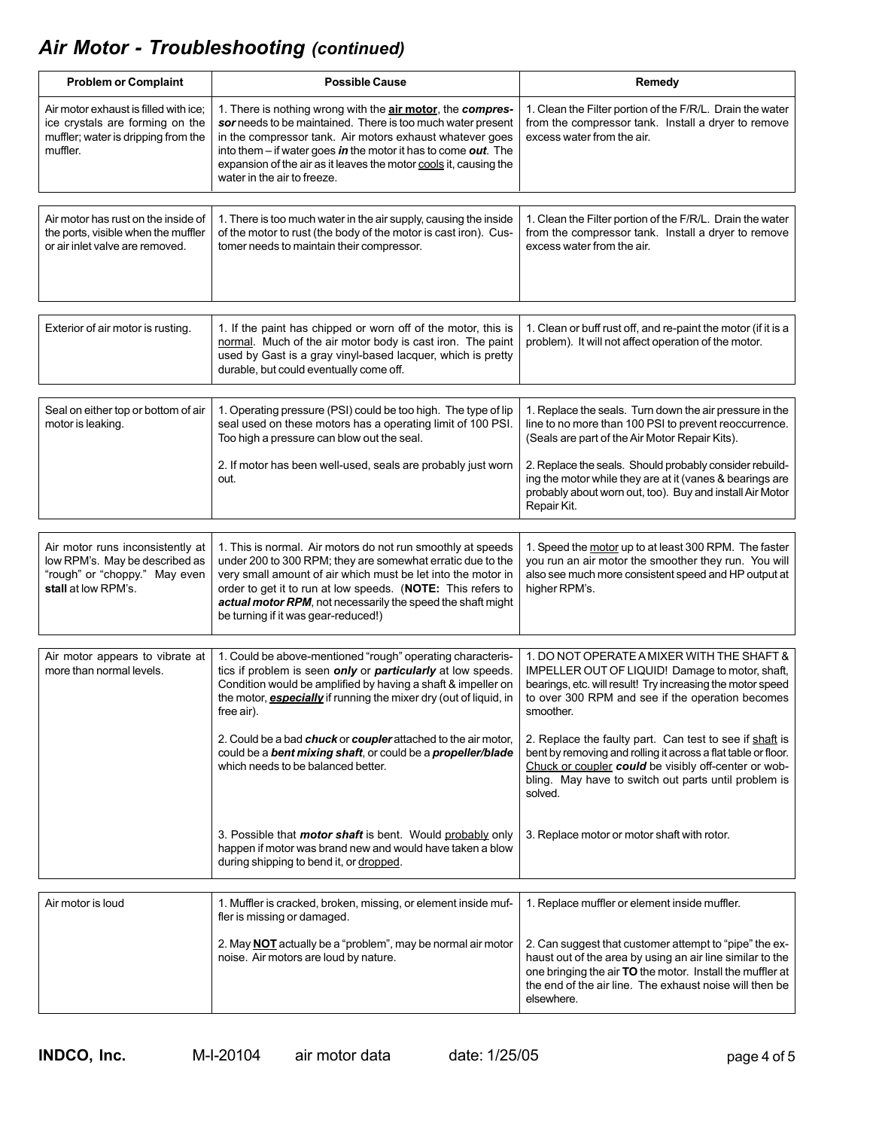## *Air Motor - Troubleshooting (continued)*

| <b>Problem or Complaint</b>                                                                                                 | <b>Possible Cause</b>                                                                                                                                                                                                                                                                                                                                                                                                                                     | Remedy                                                                                                                                                                                                                                                                                                                                                                                                                                                                              |
|-----------------------------------------------------------------------------------------------------------------------------|-----------------------------------------------------------------------------------------------------------------------------------------------------------------------------------------------------------------------------------------------------------------------------------------------------------------------------------------------------------------------------------------------------------------------------------------------------------|-------------------------------------------------------------------------------------------------------------------------------------------------------------------------------------------------------------------------------------------------------------------------------------------------------------------------------------------------------------------------------------------------------------------------------------------------------------------------------------|
| Air motor exhaust is filled with ice;<br>ice crystals are forming on the<br>muffler; water is dripping from the<br>muffler. | 1. There is nothing wrong with the <b>air motor</b> , the <b>compres-</b><br>sor needs to be maintained. There is too much water present<br>in the compressor tank. Air motors exhaust whatever goes<br>into them $-$ if water goes in the motor it has to come out. The<br>expansion of the air as it leaves the motor cools it, causing the<br>water in the air to freeze.                                                                              | 1. Clean the Filter portion of the F/R/L. Drain the water<br>from the compressor tank. Install a dryer to remove<br>excess water from the air.                                                                                                                                                                                                                                                                                                                                      |
| Air motor has rust on the inside of<br>the ports, visible when the muffler<br>or air inlet valve are removed.               | 1. There is too much water in the air supply, causing the inside<br>of the motor to rust (the body of the motor is cast iron). Cus-<br>tomer needs to maintain their compressor.                                                                                                                                                                                                                                                                          | 1. Clean the Filter portion of the F/R/L. Drain the water<br>from the compressor tank. Install a dryer to remove<br>excess water from the air.                                                                                                                                                                                                                                                                                                                                      |
| Exterior of air motor is rusting.                                                                                           | 1. If the paint has chipped or worn off of the motor, this is<br>normal. Much of the air motor body is cast iron. The paint<br>used by Gast is a gray vinyl-based lacquer, which is pretty<br>durable, but could eventually come off.                                                                                                                                                                                                                     | 1. Clean or buff rust off, and re-paint the motor (if it is a<br>problem). It will not affect operation of the motor.                                                                                                                                                                                                                                                                                                                                                               |
| Seal on either top or bottom of air<br>motor is leaking.                                                                    | 1. Operating pressure (PSI) could be too high. The type of lip<br>seal used on these motors has a operating limit of 100 PSI.<br>Too high a pressure can blow out the seal.<br>2. If motor has been well-used, seals are probably just worn<br>out.                                                                                                                                                                                                       | 1. Replace the seals. Turn down the air pressure in the<br>line to no more than 100 PSI to prevent reoccurrence.<br>(Seals are part of the Air Motor Repair Kits).<br>2. Replace the seals. Should probably consider rebuild-<br>ing the motor while they are at it (vanes & bearings are<br>probably about worn out, too). Buy and install Air Motor<br>Repair Kit.                                                                                                                |
| Air motor runs inconsistently at<br>low RPM's. May be described as<br>"rough" or "choppy." May even<br>stall at low RPM's.  | 1. This is normal. Air motors do not run smoothly at speeds<br>under 200 to 300 RPM; they are somewhat erratic due to the<br>very small amount of air which must be let into the motor in<br>order to get it to run at low speeds. (NOTE: This refers to<br>actual motor RPM, not necessarily the speed the shaft might<br>be turning if it was gear-reduced!)                                                                                            | 1. Speed the motor up to at least 300 RPM. The faster<br>you run an air motor the smoother they run. You will<br>also see much more consistent speed and HP output at<br>higher RPM's.                                                                                                                                                                                                                                                                                              |
| Air motor appears to vibrate at<br>more than normal levels.                                                                 | 1. Could be above-mentioned "rough" operating characteris-<br>tics if problem is seen only or particularly at low speeds.<br>Condition would be amplified by having a shaft & impeller on<br>the motor, <i>especially</i> if running the mixer dry (out of liquid, in<br>free air).<br>2. Could be a bad chuck or coupler attached to the air motor,<br>could be a bent mixing shaft, or could be a propeller/blade<br>which needs to be balanced better. | 1. DO NOT OPERATE A MIXER WITH THE SHAFT &<br>IMPELLER OUT OF LIQUID! Damage to motor, shaft,<br>bearings, etc. will result! Try increasing the motor speed<br>to over 300 RPM and see if the operation becomes<br>smoother.<br>2. Replace the faulty part. Can test to see if shaft is<br>bent by removing and rolling it across a flat table or floor.<br>Chuck or coupler could be visibly off-center or wob-<br>bling. May have to switch out parts until problem is<br>solved. |
|                                                                                                                             | 3. Possible that <i>motor shaft</i> is bent. Would probably only<br>happen if motor was brand new and would have taken a blow<br>during shipping to bend it, or dropped.                                                                                                                                                                                                                                                                                  | 3. Replace motor or motor shaft with rotor.                                                                                                                                                                                                                                                                                                                                                                                                                                         |
| Air motor is loud                                                                                                           | 1. Muffler is cracked, broken, missing, or element inside muf-<br>fler is missing or damaged.                                                                                                                                                                                                                                                                                                                                                             | 1. Replace muffler or element inside muffler.                                                                                                                                                                                                                                                                                                                                                                                                                                       |
|                                                                                                                             | 2. May <b>NOT</b> actually be a "problem", may be normal air motor<br>noise. Air motors are loud by nature.                                                                                                                                                                                                                                                                                                                                               | 2. Can suggest that customer attempt to "pipe" the ex-<br>haust out of the area by using an air line similar to the<br>one bringing the air TO the motor. Install the muffler at<br>the end of the air line. The exhaust noise will then be<br>elsewhere.                                                                                                                                                                                                                           |